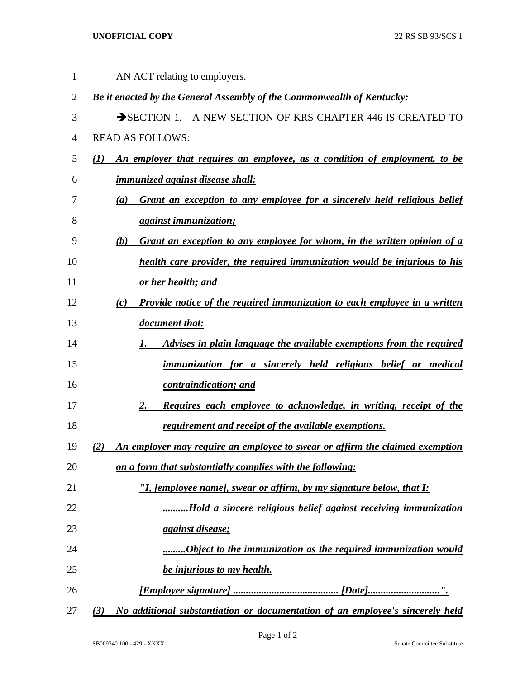## **UNOFFICIAL COPY** 22 RS SB 93/SCS 1

| $\mathbf{1}$   | AN ACT relating to employers.                                                                 |
|----------------|-----------------------------------------------------------------------------------------------|
| $\overline{2}$ | Be it enacted by the General Assembly of the Commonwealth of Kentucky:                        |
| 3              | SECTION 1. A NEW SECTION OF KRS CHAPTER 446 IS CREATED TO                                     |
| 4              | <b>READ AS FOLLOWS:</b>                                                                       |
| 5              | An employer that requires an employee, as a condition of employment, to be<br>(I)             |
| 6              | <i>immunized against disease shall:</i>                                                       |
| 7              | Grant an exception to any employee for a sincerely held religious belief<br>$\left( a\right)$ |
| 8              | <i>against immunization;</i>                                                                  |
| 9              | Grant an exception to any employee for whom, in the written opinion of a<br>(b)               |
| 10             | health care provider, the required immunization would be injurious to his                     |
| 11             | or her health; and                                                                            |
| 12             | Provide notice of the required immunization to each employee in a written<br>(c)              |
| 13             | document that:                                                                                |
| 14             | Advises in plain language the available exemptions from the required<br>1.                    |
| 15             | immunization for a sincerely held religious belief or medical                                 |
| 16             | contraindication; and                                                                         |
| 17             | Requires each employee to acknowledge, in writing, receipt of the<br>2.                       |
| 18             | requirement and receipt of the available exemptions.                                          |
| 19             | An employer may require an employee to swear or affirm the claimed exemption<br>(2)           |
| 20             | on a form that substantially complies with the following:                                     |
| 21             | "I, [employee name], swear or affirm, by my signature below, that I:                          |
| 22             | Hold a sincere religious belief against receiving immunization                                |
| 23             | <i><u>against disease;</u></i>                                                                |
| 24             | Object to the immunization as the required immunization would                                 |
| 25             | be injurious to my health.                                                                    |
| 26             |                                                                                               |
| 27             | No additional substantiation or documentation of an employee's sincerely held<br>(3)          |